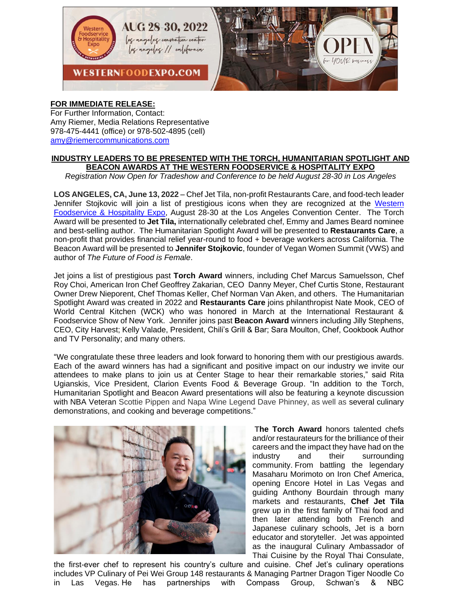

## **FOR IMMEDIATE RELEASE:**

For Further Information, Contact: Amy Riemer, Media Relations Representative 978-475-4441 (office) or 978-502-4895 (cell) [amy@riemercommunications.com](mailto:amy@riemercommunications.com)

## **INDUSTRY LEADERS TO BE PRESENTED WITH THE TORCH, HUMANITARIAN SPOTLIGHT AND BEACON AWARDS AT THE WESTERN FOODSERVICE & HOSPITALITY EXPO**

*Registration Now Open for Tradeshow and Conference to be held August 28-30 in Los Angeles*

**LOS ANGELES, CA, June 13, 2022** – Chef Jet Tila, non-profit Restaurants Care, and food-tech leader Jennifer Stojkovic will join a list of prestigious icons when they are recognized at the [Western](http://www.westernfoodexpo.com/)  [Foodservice & Hospitality Expo,](http://www.westernfoodexpo.com/) August 28-30 at the Los Angeles Convention Center. The Torch Award will be presented to **Jet Tila,** internationally celebrated chef, Emmy and James Beard nominee and best-selling author. The Humanitarian Spotlight Award will be presented to **Restaurants Care**, a non-profit that provides financial relief year-round to food + beverage workers across California. The Beacon Award will be presented to **Jennifer Stojkovic**, founder of Vegan Women Summit (VWS) and author of *The Future of Food is Female*.

Jet joins a list of prestigious past **Torch Award** winners, including Chef Marcus Samuelsson, Chef Roy Choi, American Iron Chef Geoffrey Zakarian, CEO Danny Meyer, Chef Curtis Stone, Restaurant Owner Drew Nieporent, Chef Thomas Keller, Chef Norman Van Aken, and others. The Humanitarian Spotlight Award was created in 2022 and **Restaurants Care** joins philanthropist Nate Mook, CEO of World Central Kitchen (WCK) who was honored in March at the International Restaurant & Foodservice Show of New York. Jennifer joins past **Beacon Award** winners including Jilly Stephens, CEO, City Harvest; Kelly Valade, President, Chili's Grill & Bar; Sara Moulton, Chef, Cookbook Author and TV Personality; and many others.

"We congratulate these three leaders and look forward to honoring them with our prestigious awards. Each of the award winners has had a significant and positive impact on our industry we invite our attendees to make plans to join us at Center Stage to hear their remarkable stories," said Rita Ugianskis, Vice President, Clarion Events Food & Beverage Group. "In addition to the Torch, Humanitarian Spotlight and Beacon Award presentations will also be featuring a keynote discussion with NBA Veteran Scottie Pippen and Napa Wine Legend Dave Phinney, as well as several culinary demonstrations, and cooking and beverage competitions."



**The Torch Award** honors talented chefs and/or restaurateurs for the brilliance of their careers and the impact they have had on the industry and their surrounding community. From battling the legendary Masaharu Morimoto on Iron Chef America, opening Encore Hotel in Las Vegas and guiding Anthony Bourdain through many markets and restaurants, **Chef Jet Tila** grew up in the first family of Thai food and then later attending both French and Japanese culinary schools, Jet is a born educator and storyteller. Jet was appointed as the inaugural Culinary Ambassador of Thai Cuisine by the Royal Thai Consulate,

the first-ever chef to represent his country's culture and cuisine. Chef Jet's culinary operations includes VP Culinary of Pei Wei Group 148 restaurants & Managing Partner Dragon Tiger Noodle Co in Las Vegas. He has partnerships with Compass Group, Schwan's & NBC